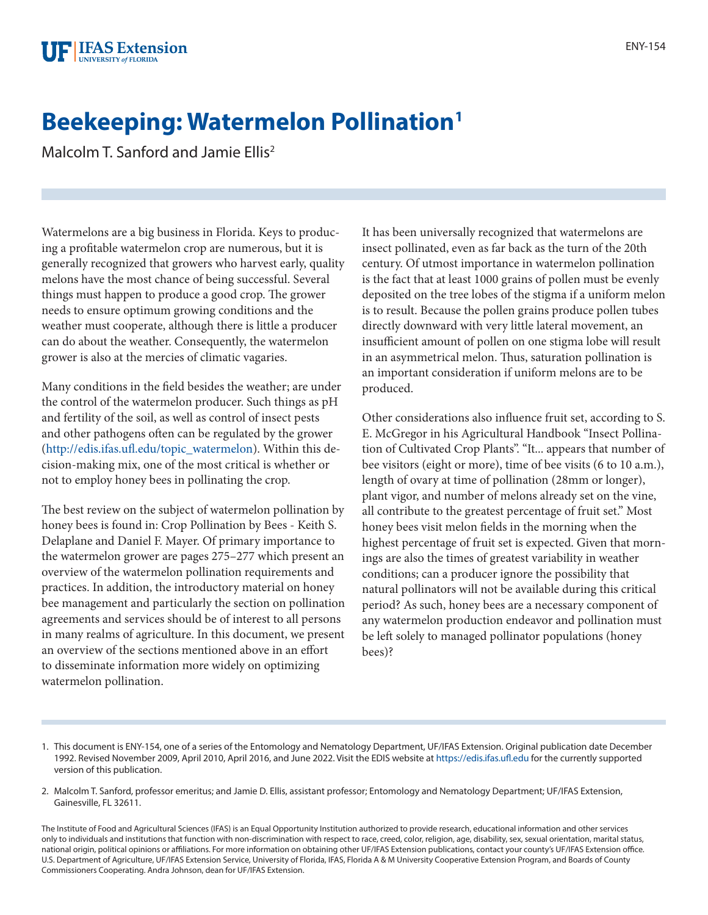## **Beekeeping: Watermelon Pollination1**

Malcolm T. Sanford and Jamie Ellis<sup>2</sup>

Watermelons are a big business in Florida. Keys to producing a profitable watermelon crop are numerous, but it is generally recognized that growers who harvest early, quality melons have the most chance of being successful. Several things must happen to produce a good crop. The grower needs to ensure optimum growing conditions and the weather must cooperate, although there is little a producer can do about the weather. Consequently, the watermelon grower is also at the mercies of climatic vagaries.

Many conditions in the field besides the weather; are under the control of the watermelon producer. Such things as pH and fertility of the soil, as well as control of insect pests and other pathogens often can be regulated by the grower ([http://edis.ifas.ufl.edu/topic\\_watermelon\)](http://edis.ifas.ufl.edu/topic_watermelon). Within this decision-making mix, one of the most critical is whether or not to employ honey bees in pollinating the crop.

The best review on the subject of watermelon pollination by honey bees is found in: Crop Pollination by Bees - Keith S. Delaplane and Daniel F. Mayer. Of primary importance to the watermelon grower are pages 275–277 which present an overview of the watermelon pollination requirements and practices. In addition, the introductory material on honey bee management and particularly the section on pollination agreements and services should be of interest to all persons in many realms of agriculture. In this document, we present an overview of the sections mentioned above in an effort to disseminate information more widely on optimizing watermelon pollination.

It has been universally recognized that watermelons are insect pollinated, even as far back as the turn of the 20th century. Of utmost importance in watermelon pollination is the fact that at least 1000 grains of pollen must be evenly deposited on the tree lobes of the stigma if a uniform melon is to result. Because the pollen grains produce pollen tubes directly downward with very little lateral movement, an insufficient amount of pollen on one stigma lobe will result in an asymmetrical melon. Thus, saturation pollination is an important consideration if uniform melons are to be produced.

Other considerations also influence fruit set, according to S. E. McGregor in his Agricultural Handbook "Insect Pollination of Cultivated Crop Plants". "It... appears that number of bee visitors (eight or more), time of bee visits (6 to 10 a.m.), length of ovary at time of pollination (28mm or longer), plant vigor, and number of melons already set on the vine, all contribute to the greatest percentage of fruit set." Most honey bees visit melon fields in the morning when the highest percentage of fruit set is expected. Given that mornings are also the times of greatest variability in weather conditions; can a producer ignore the possibility that natural pollinators will not be available during this critical period? As such, honey bees are a necessary component of any watermelon production endeavor and pollination must be left solely to managed pollinator populations (honey bees)?

<sup>1.</sup> This document is ENY-154, one of a series of the Entomology and Nematology Department, UF/IFAS Extension. Original publication date December 1992. Revised November 2009, April 2010, April 2016, and June 2022. Visit the EDIS website at<https://edis.ifas.ufl.edu>for the currently supported version of this publication.

<sup>2.</sup> Malcolm T. Sanford, professor emeritus; and Jamie D. Ellis, assistant professor; Entomology and Nematology Department; UF/IFAS Extension, Gainesville, FL 32611.

The Institute of Food and Agricultural Sciences (IFAS) is an Equal Opportunity Institution authorized to provide research, educational information and other services only to individuals and institutions that function with non-discrimination with respect to race, creed, color, religion, age, disability, sex, sexual orientation, marital status, national origin, political opinions or affiliations. For more information on obtaining other UF/IFAS Extension publications, contact your county's UF/IFAS Extension office. U.S. Department of Agriculture, UF/IFAS Extension Service, University of Florida, IFAS, Florida A & M University Cooperative Extension Program, and Boards of County Commissioners Cooperating. Andra Johnson, dean for UF/IFAS Extension.